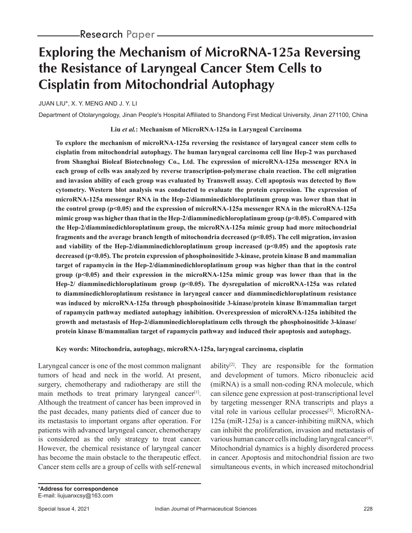# **Exploring the Mechanism of MicroRNA-125a Reversing the Resistance of Laryngeal Cancer Stem Cells to Cisplatin from Mitochondrial Autophagy**

JUAN LIU\*, X. Y. MENG AND J. Y. LI

Department of Otolaryngology, Jinan People's Hospital Affiliated to Shandong First Medical University, Jinan 271100, China

**Liu** *et al.***: Mechanism of MicroRNA-125a in Laryngeal Carcinoma**

**To explore the mechanism of microRNA-125a reversing the resistance of laryngeal cancer stem cells to cisplatin from mitochondrial autophagy. The human laryngeal carcinoma cell line Hep-2 was purchased from Shanghai Bioleaf Biotechnology Co., Ltd. The expression of microRNA-125a messenger RNA in each group of cells was analyzed by reverse transcription-polymerase chain reaction. The cell migration and invasion ability of each group was evaluated by Transwell assay. Cell apoptosis was detected by flow cytometry. Western blot analysis was conducted to evaluate the protein expression. The expression of microRNA-125a messenger RNA in the Hep-2/diamminedichloroplatinum group was lower than that in the control group (p<0.05) and the expression of microRNA-125a messenger RNA in the microRNA-125a mimic group was higher than that in the Hep-2/diamminedichloroplatinum group (p<0.05). Compared with the Hep-2/diamminedichloroplatinum group, the microRNA-125a mimic group had more mitochondrial fragments and the average branch length of mitochondria decreased (p<0.05). The cell migration, invasion and viability of the Hep-2/diamminedichloroplatinum group increased (p<0.05) and the apoptosis rate decreased (p<0.05). The protein expression of phosphoinositide 3-kinase, protein kinase B and mammalian target of rapamycin in the Hep-2/diamminedichloroplatinum group was higher than that in the control group (p<0.05) and their expression in the microRNA-125a mimic group was lower than that in the Hep-2/ diamminedichloroplatinum group (p<0.05). The dysregulation of microRNA-125a was related to diamminedichloroplatinum resistance in laryngeal cancer and diamminedichloroplatinum resistance was induced by microRNA-125a through phosphoinositide 3-kinase/protein kinase B/mammalian target of rapamycin pathway mediated autophagy inhibition. Overexpression of microRNA-125a inhibited the growth and metastasis of Hep-2/diamminedichloroplatinum cells through the phosphoinositide 3-kinase/ protein kinase B/mammalian target of rapamycin pathway and induced their apoptosis and autophagy.**

**Key words: Mitochondria, autophagy, microRNA-125a, laryngeal carcinoma, cisplatin** 

Laryngeal cancer is one of the most common malignant tumors of head and neck in the world. At present, surgery, chemotherapy and radiotherapy are still the main methods to treat primary laryngeal cancer<sup>[1]</sup>. Although the treatment of cancer has been improved in the past decades, many patients died of cancer due to its metastasis to important organs after operation. For patients with advanced laryngeal cancer, chemotherapy is considered as the only strategy to treat cancer. However, the chemical resistance of laryngeal cancer has become the main obstacle to the therapeutic effect. Cancer stem cells are a group of cells with self-renewal ability $[2]$ . They are responsible for the formation and development of tumors. Micro ribonucleic acid (miRNA) is a small non-coding RNA molecule, which can silence gene expression at post-transcriptional level by targeting messenger RNA transcripts and plays a vital role in various cellular processes<sup>[3]</sup>. MicroRNA-125a (miR-125a) is a cancer-inhibiting miRNA, which can inhibit the proliferation, invasion and metastasis of various human cancer cells including laryngeal cancer<sup>[4]</sup>. Mitochondrial dynamics is a highly disordered process in cancer. Apoptosis and mitochondrial fission are two simultaneous events, in which increased mitochondrial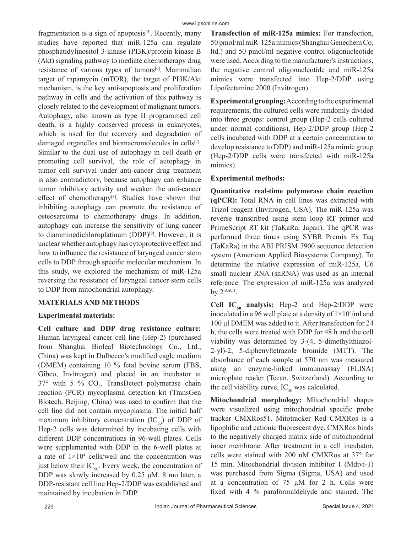fragmentation is a sign of apoptosis $[5]$ . Recently, many studies have reported that miR-125a can regulate phosphatidylinositol 3-kinase (PI3K)/protein kinase B (Akt) signaling pathway to mediate chemotherapy drug resistance of various types of tumors<sup>[6]</sup>. Mammalian target of rapamycin (mTOR), the target of PI3K/Akt mechanism, is the key anti-apoptosis and proliferation pathway in cells and the activation of this pathway is closely related to the development of malignant tumors. Autophagy, also known as type II programmed cell death, is a highly conserved process in eukaryotes, which is used for the recovery and degradation of damaged organelles and biomacromolecules in cells[7]. Similar to the dual use of autophagy in cell death or promoting cell survival, the role of autophagy in tumor cell survival under anti-cancer drug treatment is also contradictory, because autophagy can enhance tumor inhibitory activity and weaken the anti-cancer effect of chemotherapy<sup>[8]</sup>. Studies have shown that inhibiting autophagy can promote the resistance of osteosarcoma to chemotherapy drugs. In addition, autophagy can increase the sensitivity of lung cancer to diamminedichloroplatinum  $(DDP)^{[9]}$ . However, it is unclear whether autophagy has cytoprotective effect and how to influence the resistance of laryngeal cancer stem cells to DDP through specific molecular mechanism. In this study, we explored the mechanism of miR-125a reversing the resistance of laryngeal cancer stem cells to DDP from mitochondrial autophagy.

#### **MATERIALS AND METHODS**

#### **Experimental materials:**

**Cell culture and DDP drug resistance culture:**  Human laryngeal cancer cell line (Hep-2) (purchased from Shanghai Bioleaf Biotechnology Co., Ltd., China) was kept in Dulbecco's modified eagle medium (DMEM) containing 10 % fetal bovine serum (FBS, Gibco, Invitrogen) and placed in an incubator at 37° with 5 %  $CO<sub>2</sub>$ . TransDetect polymerase chain reaction (PCR) mycoplasma detection kit (TransGen Biotech, Beijing, China) was used to confirm that the cell line did not contain mycoplasma. The initial half maximum inhibitory concentration  $(IC_{50})$  of DDP of Hep-2 cells was determined by incubating cells with different DDP concentrations in 96-well plates. Cells were supplemented with DDP in the 6-well plates at a rate of  $1 \times 10^4$  cells/well and the concentration was just below their  $IC_{50}$ . Every week, the concentration of DDP was slowly increased by 0.25 μM. 8 mo later, a DDP-resistant cell line Hep-2/DDP was established and maintained by incubation in DDP.

**Transfection of miR-125a mimics:** For transfection, 50 pmol/ml miR-125a mimics (Shanghai Genechem Co, ltd.) and 50 pmol/ml negative control oligonucleotide were used. According to the manufacturer's instructions, the negative control oligonucleotide and miR-125a mimics were transfected into Hep-2/DDP using Lipofectamine 2000 (Invitrogen).

**Experimental grouping:** According to the experimental requirements, the cultured cells were randomly divided into three groups: control group (Hep-2 cells cultured under normal conditions), Hep-2/DDP group (Hep-2 cells incubated with DDP at a certain concentration to develop resistance to DDP) and miR-125a mimic group (Hep-2/DDP cells were transfected with miR-125a mimics).

# **Experimental methods:**

**Quantitative real-time polymerase chain reaction (qPCR):** Total RNA in cell lines was extracted with Trizol reagent (Invitrogen, USA). The miR-125a was reverse transcribed using stem loop RT primer and PrimeScript RT kit (TaKaRa, Japan). The qPCR was performed three times using SYBR Premix Ex Taq (TaKaRa) in the ABI PRISM 7900 sequence detection system (American Applied Biosystems Company). To determine the relative expression of miR-125a, U6 small nuclear RNA (snRNA) was used as an internal reference. The expression of miR-125a was analyzed by 2-∆∆CT.

**Cell IC<sub>50</sub> analysis:** Hep-2 and Hep-2/DDP were inoculated in a 96 well plate at a density of  $1\times10^4/\text{ml}$  and 100 μl DMEM was added to it. After transfection for 24 h, the cells were treated with DDP for 48 h and the cell viability was determined by 3-(4, 5-dimethylthiazol-2-yl)-2, 5-diphenyltetrazole bromide (MTT). The absorbance of each sample at 570 nm was measured using an enzyme-linked immunoassay (ELISA) microplate reader (Tecan, Switzerland). According to the cell viability curve,  $IC_{50}$  was calculated.

**Mitochondrial morphology:** Mitochondrial shapes were visualized using mitochondrial specific probe tracker CMXRos51. Mitotracker Red CMXRos is a lipophilic and cationic fluorescent dye. CMXRos binds to the negatively charged matrix side of mitochondrial inner membrane. After treatment in a cell incubator, cells were stained with 200 nM CMXRos at 37° for 15 min. Mitochondrial division inhibitor 1 (Mdivi-1) was purchased from Sigma (Sigma, USA) and used at a concentration of  $75 \mu M$  for 2 h. Cells were fixed with 4 % paraformaldehyde and stained. The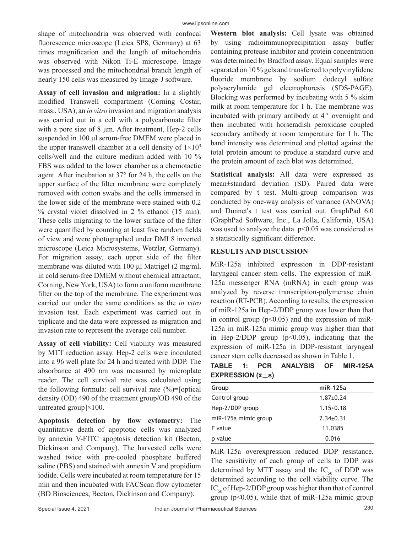shape of mitochondria was observed with confocal fluorescence microscope (Leica SP8, Germany) at 63 times magnification and the length of mitochondria was observed with Nikon Ti-E microscope. Image was processed and the mitochondrial branch length of nearly 150 cells was measured by Image-J software.

**Assay of cell invasion and migration:** In a slightly modified Transwell compartment (Corning Costar, mass., USA), an *in vitro* invasion and migration analysis was carried out in a cell with a polycarbonate filter with a pore size of 8 μm. After treatment, Hep-2 cells suspended in 100 μl serum-free DMEM were placed in the upper transwell chamber at a cell density of  $1\times10^{5}$ cells/well and the culture medium added with 10 % FBS was added to the lower chamber as a chemotactic agent. After incubation at 37° for 24 h, the cells on the upper surface of the filter membrane were completely removed with cotton swabs and the cells immersed in the lower side of the membrane were stained with 0.2 % crystal violet dissolved in 2 % ethanol (15 min). These cells migrating to the lower surface of the filter were quantified by counting at least five random fields of view and were photographed under DMI 8 inverted microscope (Leica Microsystems, Wetzlar, Germany). For migration assay, each upper side of the filter membrane was diluted with 100 μl Matrigel (2 mg/ml, in cold serum-free DMEM without chemical attractant; Corning, New York, USA) to form a uniform membrane filter on the top of the membrane. The experiment was carried out under the same conditions as the *in vitro* invasion test. Each experiment was carried out in triplicate and the data were expressed as migration and invasion rate to represent the average cell number.

**Assay of cell viability:** Cell viability was measured by MTT reduction assay. Hep-2 cells were inoculated into a 96 well plate for 24 h and treated with DDP. The absorbance at 490 nm was measured by microplate reader. The cell survival rate was calculated using the following formula: cell survival rate  $(\%)$ =[optical] density (OD) 490 of the treatment group/OD 490 of the untreated group]×100.

**Apoptosis detection by flow cytometry:** The quantitative death of apoptotic cells was analyzed by annexin V-FITC apoptosis detection kit (Becton, Dickinson and Company). The harvested cells were washed twice with pre-cooled phosphate buffered saline (PBS) and stained with annexin V and propidium iodide. Cells were incubated at room temperature for 15 min and then incubated with FACScan flow cytometer (BD Biosciences; Becton, Dickinson and Company).

**Western blot analysis:** Cell lysate was obtained by using radioimmunoprecipitation assay buffer containing protease inhibitor and protein concentration was determined by Bradford assay. Equal samples were separated on 10 % gels and transferred to polyvinylidene fluoride membrane by sodium dodecyl sulfate polyacrylamide gel electrophoresis (SDS-PAGE). Blocking was performed by incubating with 5 % skim milk at room temperature for 1 h. The membrane was incubated with primary antibody at  $4^\circ$  overnight and then incubated with horseradish peroxidase coupled secondary antibody at room temperature for 1 h. The band intensity was determined and plotted against the total protein amount to produce a standard curve and the protein amount of each blot was determined.

**Statistical analysis:** All data were expressed as mean±standard deviation (SD). Paired data were compared by t test. Multi-group comparison was conducted by one-way analysis of variance (ANOVA) and Dunnet's t test was carried out. GraphPad 6.0 (GraphPad Software, Inc., La Jolla, California, USA) was used to analyze the data. p<0.05 was considered as a statistically significant difference.

#### **RESULTS AND DISCUSSION**

MiR-125a inhibited expression in DDP-resistant laryngeal cancer stem cells. The expression of miR-125a messenger RNA (mRNA) in each group was analyzed by reverse transcription-polymerase chain reaction (RT-PCR). According to results, the expression of miR-125a in Hep-2/DDP group was lower than that in control group  $(p<0.05)$  and the expression of miR-125a in miR-125a mimic group was higher than that in Hep-2/DDP group  $(p<0.05)$ , indicating that the expression of miR-125a in DDP-resistant laryngeal cancer stem cells decreased as shown in Table 1.

|                                                     |  | TABLE 1: PCR ANALYSIS OF MIR-125A |  |
|-----------------------------------------------------|--|-----------------------------------|--|
| <b>EXPRESSION (<math>\overline{x} \pm s</math>)</b> |  |                                   |  |

| Group                | miR-125a        |
|----------------------|-----------------|
| Control group        | $1.87+0.24$     |
| Hep-2/DDP group      | $1.15 \pm 0.18$ |
| miR-125a mimic group | $2.34 \pm 0.31$ |
| F value              | 11.0385         |
| p value              | 0.016           |

MiR-125a overexpression reduced DDP resistance. The sensitivity of each group of cells to DDP was determined by MTT assay and the  $IC_{50}$  of DDP was determined according to the cell viability curve. The  $IC_{50}$  of Hep-2/DDP group was higher than that of control group ( $p<0.05$ ), while that of miR-125a mimic group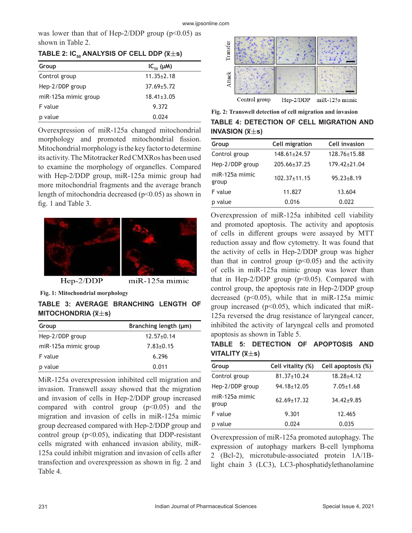was lower than that of Hep-2/DDP group  $(p<0.05)$  as shown in Table 2.

| TABLE 2: IC <sub>50</sub> ANALYSIS OF CELL DDP ( $\overline{x} \pm s$ ) |  |  |  |  |
|-------------------------------------------------------------------------|--|--|--|--|
|-------------------------------------------------------------------------|--|--|--|--|

| Group                | $IC_{50}(\mu M)$ |
|----------------------|------------------|
| Control group        | $11.35 \pm 2.18$ |
| Hep-2/DDP group      | $37.69 \pm 5.72$ |
| miR-125a mimic group | $18.41 \pm 3.05$ |
| F value              | 9.372            |
| value                | 0.024            |

Overexpression of miR-125a changed mitochondrial morphology and promoted mitochondrial fission. Mitochondrial morphology is the key factor to determine its activity. The Mitotracker Red CMXRos has been used to examine the morphology of organelles. Compared with Hep-2/DDP group, miR-125a mimic group had more mitochondrial fragments and the average branch length of mitochondria decreased ( $p$ <0.05) as shown in fig. 1 and Table 3.



 $Hep-2/DDP$ 

miR-125a mimic

**Fig. 1: Mitochondrial morphology**

# **TABLE 3: AVERAGE BRANCHING LENGTH OF MITOCHONDRIA (x̅s)**

| Group                | Branching length (µm) |  |  |
|----------------------|-----------------------|--|--|
| Hep-2/DDP group      | $12.57 \pm 0.14$      |  |  |
| miR-125a mimic group | $7.83 \pm 0.15$       |  |  |
| F value              | 6.296                 |  |  |
| p value              | 0.011                 |  |  |

MiR-125a overexpression inhibited cell migration and invasion. Transwell assay showed that the migration and invasion of cells in Hep-2/DDP group increased compared with control group  $(p<0.05)$  and the migration and invasion of cells in miR-125a mimic group decreased compared with Hep-2/DDP group and control group ( $p<0.05$ ), indicating that DDP-resistant cells migrated with enhanced invasion ability, miR-125a could inhibit migration and invasion of cells after transfection and overexpression as shown in fig. 2 and Table 4.



**TABLE 4: DETECTION OF CELL MIGRATION AND INVASION (x̅s) Fig. 2: Transwell detection of cell migration and invasion**

| Group                   | Cell migration     | Cell invasion      |
|-------------------------|--------------------|--------------------|
| Control group           | $148.61 \pm 24.57$ | $128.76 \pm 15.88$ |
| Hep-2/DDP group         | $205.66 \pm 37.25$ | $179.42 \pm 21.04$ |
| miR-125a mimic<br>group | $102.37 \pm 11.15$ | $95.23 \pm 8.19$   |
| F value                 | 11.827             | 13.604             |
| p value                 | 0.016              | 0.022              |

Overexpression of miR-125a inhibited cell viability and promoted apoptosis. The activity and apoptosis of cells in different groups were assayed by MTT reduction assay and flow cytometry. It was found that the activity of cells in Hep-2/DDP group was higher than that in control group  $(p<0.05)$  and the activity of cells in miR-125a mimic group was lower than that in Hep-2/DDP group  $(p<0.05)$ . Compared with control group, the apoptosis rate in Hep-2/DDP group decreased ( $p<0.05$ ), while that in miR-125a mimic group increased ( $p<0.05$ ), which indicated that miR-125a reversed the drug resistance of laryngeal cancer, inhibited the activity of laryngeal cells and promoted apoptosis as shown in Table 5.

|                                              |  | TABLE 5: DETECTION OF APOPTOSIS AND |  |
|----------------------------------------------|--|-------------------------------------|--|
| VITALITY ( $\bar{\mathsf{x}}\pm\mathsf{s}$ ) |  |                                     |  |

| Group                   | Cell vitality (%) | Cell apoptosis (%) |
|-------------------------|-------------------|--------------------|
| Control group           | $81.37 \pm 10.24$ | $18.28 + 4.12$     |
| Hep-2/DDP group         | $94.18 \pm 12.05$ | $7.05 \pm 1.68$    |
| miR-125a mimic<br>group | $62.69 \pm 17.32$ | $34.42 \pm 9.85$   |
| F value                 | 9.301             | 12.465             |
| p value                 | 0.024             | 0.035              |

Overexpression of miR-125a promoted autophagy. The expression of autophagy markers B-cell lymphoma 2 (Bcl-2), microtubule-associated protein 1A/1Blight chain 3 (LC3), LC3-phosphatidylethanolamine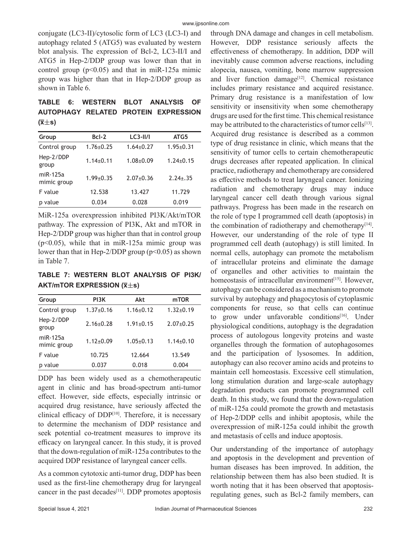conjugate (LC3-II)/cytosolic form of LC3 (LC3-I) and autophagy related 5 (ATG5) was evaluated by western blot analysis. The expression of Bcl-2, LC3-II/I and ATG5 in Hep-2/DDP group was lower than that in control group  $(p<0.05)$  and that in miR-125a mimic group was higher than that in Hep-2/DDP group as shown in Table 6.

# **TABLE 6: WESTERN BLOT ANALYSIS OF AUTOPHAGY RELATED PROTEIN EXPRESSION (x̅s)**

| Group                   | $Bcl-2$         | $LC3-II/I$      | ATG5            |
|-------------------------|-----------------|-----------------|-----------------|
| Control group           | $1.76 \pm 0.25$ | $1.64 \pm 0.27$ | $1.95 \pm 0.31$ |
| Hep-2/DDP<br>group      | $1.14\pm0.11$   | $1.08 + 0.09$   | $1.24 \pm 0.15$ |
| miR-125a<br>mimic group | $1.99 \pm 0.35$ | $2.07+0.36$     | $2.24 \pm .35$  |
| F value                 | 12.538          | 13.427          | 11.729          |
| p value                 | 0.034           | 0.028           | 0.019           |

MiR-125a overexpression inhibited PI3K/Akt/mTOR pathway. The expression of PI3K, Akt and mTOR in Hep-2/DDP group was higher than that in control group (p<0.05), while that in miR-125a mimic group was lower than that in Hep-2/DDP group ( $p$ <0.05) as shown in Table 7.

**TABLE 7: WESTERN BLOT ANALYSIS OF PI3K/ AKT/mTOR EXPRESSION (x̅s)**

| Group                   | PI3K            | Akt             | mTOR            |
|-------------------------|-----------------|-----------------|-----------------|
| Control group           | $1.37 \pm 0.16$ | $1.16 \pm 0.12$ | $1.32 \pm 0.19$ |
| Hep-2/DDP<br>group      | $2.16 \pm 0.28$ | $1.91 \pm 0.15$ | $2.07+0.25$     |
| miR-125a<br>mimic group | $1.12 \pm 0.09$ | $1.05 \pm 0.13$ | $1.14 \pm 0.10$ |
| F value                 | 10.725          | 12.664          | 13.549          |
| p value                 | 0.037           | 0.018           | 0.004           |

DDP has been widely used as a chemotherapeutic agent in clinic and has broad-spectrum anti-tumor effect. However, side effects, especially intrinsic or acquired drug resistance, have seriously affected the clinical efficacy of DDP<sup>[10]</sup>. Therefore, it is necessary to determine the mechanism of DDP resistance and seek potential co-treatment measures to improve its efficacy on laryngeal cancer. In this study, it is proved that the down-regulation of miR-125a contributes to the acquired DDP resistance of laryngeal cancer cells.

As a common cytotoxic anti-tumor drug, DDP has been used as the first-line chemotherapy drug for laryngeal cancer in the past decades<sup>[11]</sup>. DDP promotes apoptosis through DNA damage and changes in cell metabolism. However, DDP resistance seriously affects the effectiveness of chemotherapy. In addition, DDP will inevitably cause common adverse reactions, including alopecia, nausea, vomiting, bone marrow suppression and liver function damage<sup>[12]</sup>. Chemical resistance includes primary resistance and acquired resistance. Primary drug resistance is a manifestation of low sensitivity or insensitivity when some chemotherapy drugs are used for the first time. This chemical resistance may be attributed to the characteristics of tumor cells $[13]$ . Acquired drug resistance is described as a common type of drug resistance in clinic, which means that the sensitivity of tumor cells to certain chemotherapeutic drugs decreases after repeated application. In clinical practice, radiotherapy and chemotherapy are considered as effective methods to treat laryngeal cancer. Ionizing radiation and chemotherapy drugs may induce laryngeal cancer cell death through various signal pathways. Progress has been made in the research on the role of type I programmed cell death (apoptosis) in the combination of radiotherapy and chemotherapy $[14]$ . However, our understanding of the role of type II programmed cell death (autophagy) is still limited. In normal cells, autophagy can promote the metabolism of intracellular proteins and eliminate the damage of organelles and other activities to maintain the homeostasis of intracellular environment<sup>[15]</sup>. However, autophagy can be considered as a mechanism to promote survival by autophagy and phagocytosis of cytoplasmic components for reuse, so that cells can continue to grow under unfavorable conditions<sup>[16]</sup>. Under physiological conditions, autophagy is the degradation process of autologous longevity proteins and waste organelles through the formation of autophagosomes and the participation of lysosomes. In addition, autophagy can also recover amino acids and proteins to maintain cell homeostasis. Excessive cell stimulation, long stimulation duration and large-scale autophagy degradation products can promote programmed cell death. In this study, we found that the down-regulation of miR-125a could promote the growth and metastasis of Hep-2/DDP cells and inhibit apoptosis, while the overexpression of miR-125a could inhibit the growth and metastasis of cells and induce apoptosis.

Our understanding of the importance of autophagy and apoptosis in the development and prevention of human diseases has been improved. In addition, the relationship between them has also been studied. It is worth noting that it has been observed that apoptosisregulating genes, such as Bcl-2 family members, can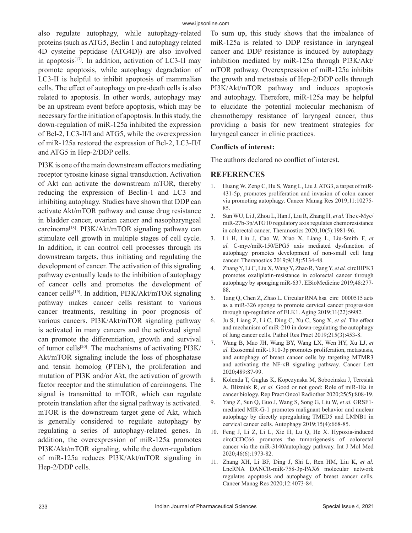also regulate autophagy, while autophagy-related proteins (such as ATG5, Beclin 1 and autophagy related 4D cysteine peptidase (ATG4D)) are also involved in apoptosis $[17]$ . In addition, activation of LC3-II may promote apoptosis, while autophagy degradation of LC3-II is helpful to inhibit apoptosis of mammalian cells. The effect of autophagy on pre-death cells is also related to apoptosis. In other words, autophagy may be an upstream event before apoptosis, which may be necessary for the initiation of apoptosis. In this study, the down-regulation of miR-125a inhibited the expression of Bcl-2, LC3-II/I and ATG5, while the overexpression of miR-125a restored the expression of Bcl-2, LC3-II/I and ATG5 in Hep-2/DDP cells.

PI3K is one of the main downstream effectors mediating receptor tyrosine kinase signal transduction. Activation of Akt can activate the downstream mTOR, thereby reducing the expression of Beclin-1 and LC3 and inhibiting autophagy. Studies have shown that DDP can activate Akt/mTOR pathway and cause drug resistance in bladder cancer, ovarian cancer and nasopharyngeal carcinoma[18]. PI3K/Akt/mTOR signaling pathway can stimulate cell growth in multiple stages of cell cycle. In addition, it can control cell processes through its downstream targets, thus initiating and regulating the development of cancer. The activation of this signaling pathway eventually leads to the inhibition of autophagy of cancer cells and promotes the development of cancer cells<sup>[19]</sup>. In addition, PI3K/Akt/mTOR signaling pathway makes cancer cells resistant to various cancer treatments, resulting in poor prognosis of various cancers. PI3K/Akt/mTOR signaling pathway is activated in many cancers and the activated signal can promote the differentiation, growth and survival of tumor cells[20]. The mechanisms of activating PI3K/ Akt/mTOR signaling include the loss of phosphatase and tensin homolog (PTEN), the proliferation and mutation of PI3K and/or Akt, the activation of growth factor receptor and the stimulation of carcinogens. The signal is transmitted to mTOR, which can regulate protein translation after the signal pathway is activated. mTOR is the downstream target gene of Akt, which is generally considered to regulate autophagy by regulating a series of autophagy-related genes. In addition, the overexpression of miR-125a promotes PI3K/Akt/mTOR signaling, while the down-regulation of miR-125a reduces PI3K/Akt/mTOR signaling in Hep-2/DDP cells.

To sum up, this study shows that the imbalance of miR-125a is related to DDP resistance in laryngeal cancer and DDP resistance is induced by autophagy inhibition mediated by miR-125a through PI3K/Akt/ mTOR pathway. Overexpression of miR-125a inhibits the growth and metastasis of Hep-2/DDP cells through PI3K/Akt/mTOR pathway and induces apoptosis and autophagy. Therefore, miR-125a may be helpful to elucidate the potential molecular mechanism of chemotherapy resistance of laryngeal cancer, thus providing a basis for new treatment strategies for laryngeal cancer in clinic practices.

#### **Conflicts of interest:**

The authors declared no conflict of interest.

# **REFERENCES**

- 1. Huang W, Zeng C, Hu S, Wang L, Liu J. ATG3, a target of miR-431-5p, promotes proliferation and invasion of colon cancer via promoting autophagy. Cancer Manag Res 2019;11:10275- 85.
- 2. Sun WU, Li J, Zhou L, Han J, Liu R, Zhang H, *et al.* The c-Myc/ miR-27b-3p/ATG10 regulatory axis regulates chemoresistance in colorectal cancer. Theranostics 2020;10(5):1981-96.
- 3. Li H, Liu J, Cao W, Xiao X, Liang L, Liu-Smith F, *et al.* C-myc/miR-150/EPG5 axis mediated dysfunction of autophagy promotes development of non-small cell lung cancer. Theranostics 2019;9(18):5134-48.
- 4. Zhang Y, Li C, Liu X, Wang Y, Zhao R, Yang Y, *et al.* circHIPK3 promotes oxaliplatin-resistance in colorectal cancer through autophagy by sponging miR-637. EBioMedicine 2019;48:277- 88.
- 5. Tang Q, Chen Z, Zhao L. Circular RNA hsa\_circ\_0000515 acts as a miR-326 sponge to promote cervical cancer progression through up-regulation of ELK1. Aging 2019;11(22):9982.
- 6. Ju S, Liang Z, Li C, Ding C, Xu C, Song X, *et al.* The effect and mechanism of miR-210 in down-regulating the autophagy of lung cancer cells. Pathol Res Pract 2019;215(3):453-8.
- 7. Wang B, Mao JH, Wang BY, Wang LX, Wen HY, Xu LJ, *et al.* Exosomal miR-1910-3p promotes proliferation, metastasis, and autophagy of breast cancer cells by targeting MTMR3 and activating the NF-κB signaling pathway. Cancer Lett 2020;489:87-99.
- 8. Kolenda T, Guglas K, Kopczynska M, Sobocinska J, Teresiak A, Blizniak R, *et al.* Good or not good: Role of miR-18a in cancer biology. Rep Pract Oncol Radiother 2020;25(5):808-19.
- 9. Yang Z, Sun Q, Guo J, Wang S, Song G, Liu W, *et al.* GRSF1 mediated MIR-G-1 promotes malignant behavior and nuclear autophagy by directly upregulating TMED5 and LMNB1 in cervical cancer cells. Autophagy 2019;15(4):668-85.
- 10. Feng J, Li Z, Li L, Xie H, Lu Q, He X. Hypoxia-induced circCCDC66 promotes the tumorigenesis of colorectal cancer via the miR-3140/autophagy pathway. Int J Mol Med 2020;46(6):1973-82.
- 11. Zhang XH, Li BF, Ding J, Shi L, Ren HM, Liu K, *et al.* LncRNA DANCR-miR-758-3p-PAX6 molecular network regulates apoptosis and autophagy of breast cancer cells. Cancer Manag Res 2020;12:4073-84.